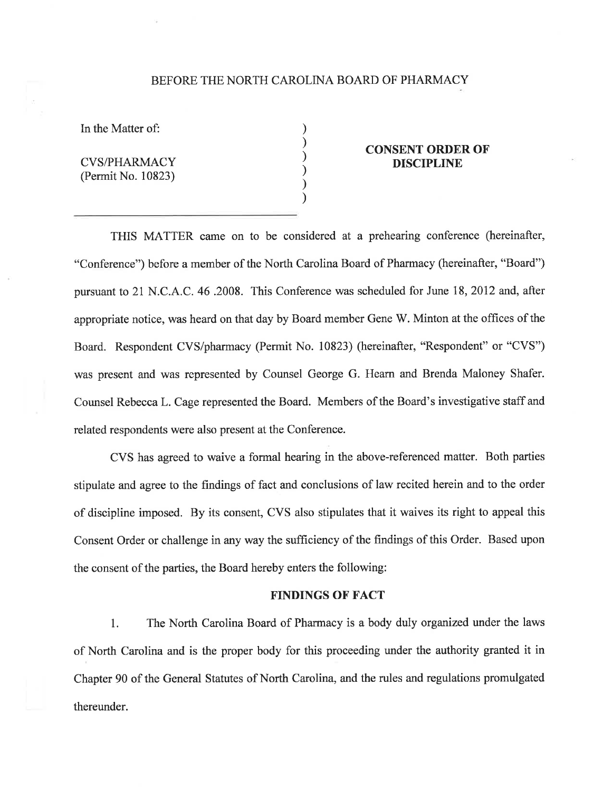#### BEFORE THE NORTH CAROLINA BOARD OF PHARMACY

) ) ) ) ) )

In the Matter of:

CVS/PHARMACY (Permit No. 10823)

## CONSENT ORDER OF DISCIPLINE

THIS MATTER came on to be considered at a prehearing conference (hereinafter, "Conference") before a member of the North Carolina Board of Pharmacy (hereinafter, "Board") pursuant to 21 N.C. A.C. 46 .2008. This Conference was scheduled for June 18,2012 and, after appropriate notice, was heard on that day by Board member Gene W. Minton at the offices of the Board. Respondent CVS/pharmacy (Permit No. 10823) (hereinafter, "Respondent" or "CVS") was present and was represented by Counsel George G. Hearn and Brenda Maloney Shafer. Counsel Rebecca L. Cage represented the Board. Members of the Board's investigative staff and related respondents were also present at the Conference.

CVS has agreed to waive a formal hearing in the above-referenced matter. Both parties stipulate and agree to the findings of fact and conclusions of law recited herein and to the order of discipline imposed. By its consent, CVS also stipulates that it waives its right to appeal this Consent Order or challenge in any way the sufficiency of the findings of this Order. Based upon the consent of the parties, the Board hereby enters the following:

### FINDINGS OF FACT

1. The North Carolina Board of Pharmacy is a body duly organized under the laws of North Carolina and is the proper body for this proceeding under the authority granted it in Chapter 90 of the General Statutes of North Carolina, and the rules and regulations promulgated thereunder.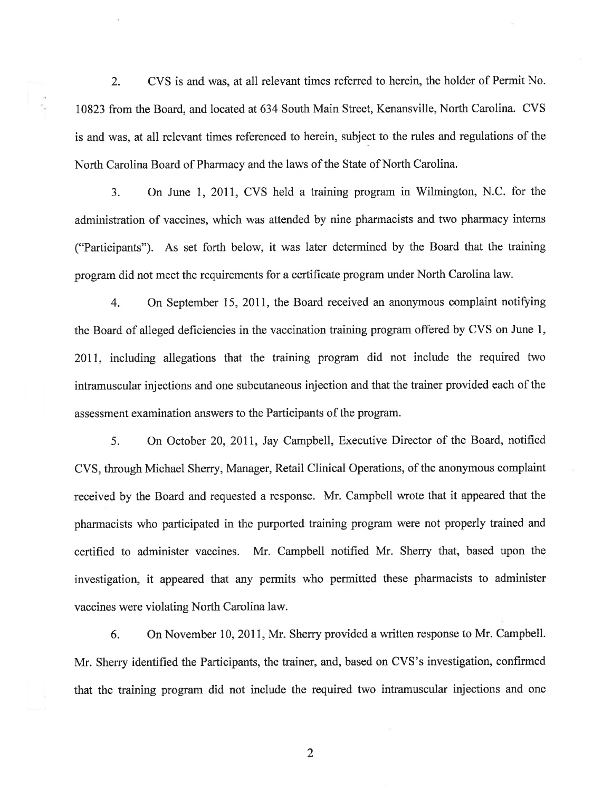2. CVS is and was, at all relevant times referred to herein, the holder of Permit No. 10823 from the Board, and located at 634 South Main Street, Kenansville, North Carolina. CVS is and was, at all relevant times referenced to herein, subject to the rules and regulations of the North Carolina Board of Pharmacy and the laws of the State of North Carolina.

3. On June I,20Il, CVS held a training program in Wilmington, N.C. for the administration of vaccines, which was attended by nine pharmacists and two pharmacy interns ("Participants"). As set forth below, it was later determined by the Board that the training program did not meet the requirements for a certificate program under North Carolina law.

4. On September 15, 2011, the Board received an anonymous complaint notifying the Board of alleged deficiencies in the vaccination training program offered by CVS on June 1, 2011, including allegations that the training program did not include the required two intramuscular injections and one subcutaneous injection and that the trainer provided each of the assessment examination answers to the Participants of the program.

5. On October 20,20II, Jay Campbell, Executive Director of the Board, notified CVS, through Michael Sherry, Manager, Retail Clinical Operations, of the anonymous complaint received by the Board and requested a response. Mr. Campbell wrote that it appeared that the pharmacists who participated in the purported training program were not properly trained and certified to administer vaccines. Mr. Campbell notified Mr. Sherry that, based upon the investigation, it appeared that any permits who permitted these pharmacists to administer vaccines were violating North Carolina law.

6. On November 10, 2011, Mr. Sherry provided a written response to Mr. Campbell. Mr. Sherry identified the Participants, the trainer, and, based on CVS's investigation, confirmed that the training program did not include the required two intramuscular injections and one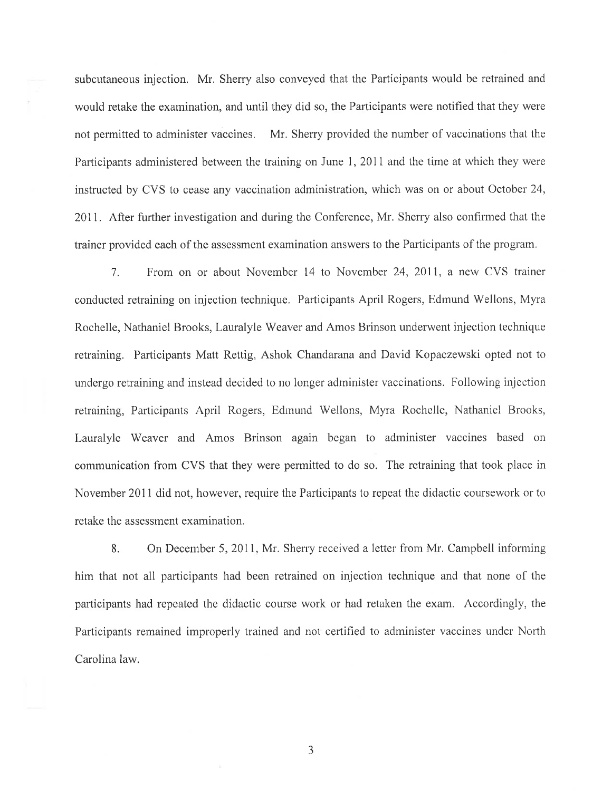subcutaneous injection. Mr. Sherry also conveyed that the Participants would be retrained and would retake the examination, and until they did so, the Participants were notified that they were not permitted to administer vaccines. Mr. Sherry provided the number of vaccinations that the Participants administered between the training on June 1, 2011 and the time at which they were instructed by CVS to cease any vaccination administration, which was on or about October 24, 2011. After further investigation and during the Conference, Mr. Sherry also confirmed that the trainer provided each of the assessment examination answers to the Participants of the program.

7. From on or about November 14 to November 24,2011, a new CVS trainer conducted retraining on injection technique. Participants April Rogers, Edmund Wellons, Myra Rochelle, Nathaniel Brooks, Lauralyle Weaver and Amos Brinson underwent injection technique retraining. Participants Matt Rettig, Ashok Chandarana and David Kopaczewski opted not to undergo retraining and instead decided to no longer administer vaccinations. Following injection retraining, Participants April Rogers, Edmund Wellons, Myra Rochelle, Nathaniel Brooks, Lauralyle Weaver and Amos Brinson again began to administer vaccines based on communication from CVS that they were permitted to do so. The retraining that took place in November 2011 did not, however, require the Participants to repeat the didactic coursework or to retake the assessment examination.

8. On December 5, 2011, Mr. Sherry received a letter from Mr. Campbell informing him that not all participants had been retrained on injection technique and that none of the participants had repeated the didactic course work or had retaken the exam. Accordingly, the Participants remained improperly trained and not certified to administer vaccines under North Carolina law.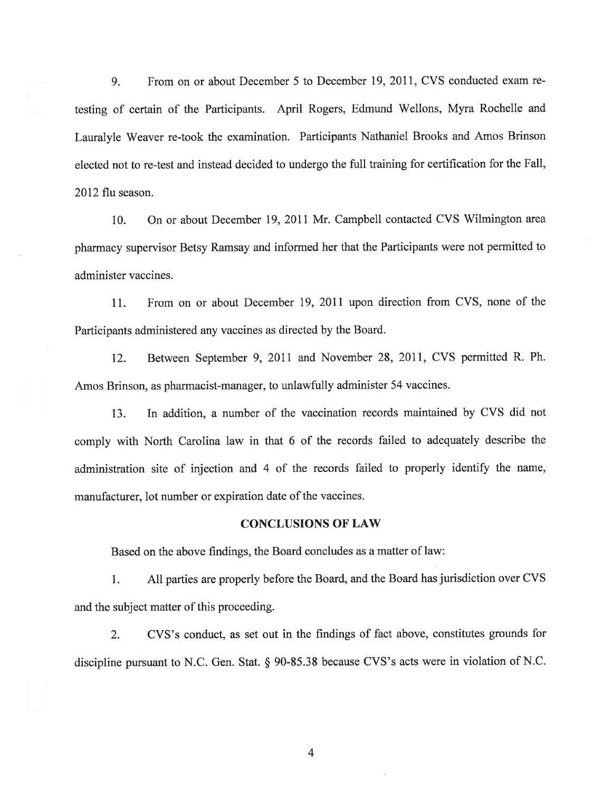9. From on or about December 5 to December 19, 2011, CVS conducted exam retesting of certain of the Participants. April Rogers, Edmund Wellons, Myra Rochelle and Lauralyle Weaver re-took the examination. Participants Nathaniel Brooks and Amos Brinson elected not to re-test and instead decided to undergo the full training for certification for the Fall, 2012 flu season.

10. On or about December 19, 2011 Mr. Campbell contacted CVS Wilmington area pharmacy supervisor Betsy Ramsay and informed her that the Participants were not permitted to administer vaccines.

11. From on or about December 19,20ll upon direction from CVS, none of the Participants administered any vaccines as directed by the Board.

12. Between September 9, 2011 and November 28, 2011, CVS permitted R. Ph. Amos Brinson, as pharmacist-manager, to unlawfully administer 54 vaccines.

13. In addition, a number of the vaccination records maintained by CVS did not comply with North Carolina law in that 6 of the records failed to adequately describe the administration site of injection and 4 of the records failed to properly identify the name, manufacturer, lot number or expiration date of the vaccines.

### **CONCLUSIONS OF LAW**

Based on the above findings, the Board concludes as a matter of law:

1. All parties are properly before the Board, and the Board has jurisdiction over CVS and the subject matter of this proceeding.

2. CVS's conduct, as set out in the frndings of fact above, constitutes grounds for discipline pursuant to N.C. Gen. Stat. \$ 90-35.38 because CVS's acts were in violation of N.C.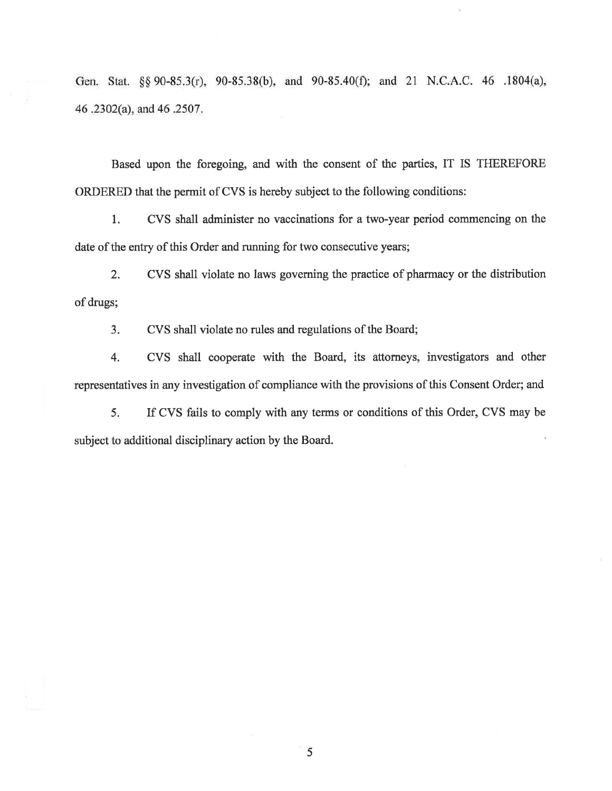Gen. Stat. §§ 90-85.3(r), 90-85.38(b), and 90-85.40(f); and 21 N.C.A.C. 46 .1804(a), 46.2302(a), and 46.2507.

Based upon the foregoing, md with the consent of the parties, IT IS TTIEREFORE ORDERED that the permit of CVS is hereby subject to the following conditions:

1. CVS shall administer no vaccinations for a two-year period commencing on tho date of the entry of this Order and running for two consecutive years;

2. CVS shall violate no laws governing the practice of pharmacy or the distribution of drugs;

3. CVS shall violate no rules and regulations of the Board;

4. CVS shall cooperate with the Board, its attonreys, investigators and other representatives in any investigation of compliance with the provisions of this Consent Order; and

5. If CVS fails to comply with any terms or conditions of this Order, CVS may be subject to additional disciplinary action by the Board.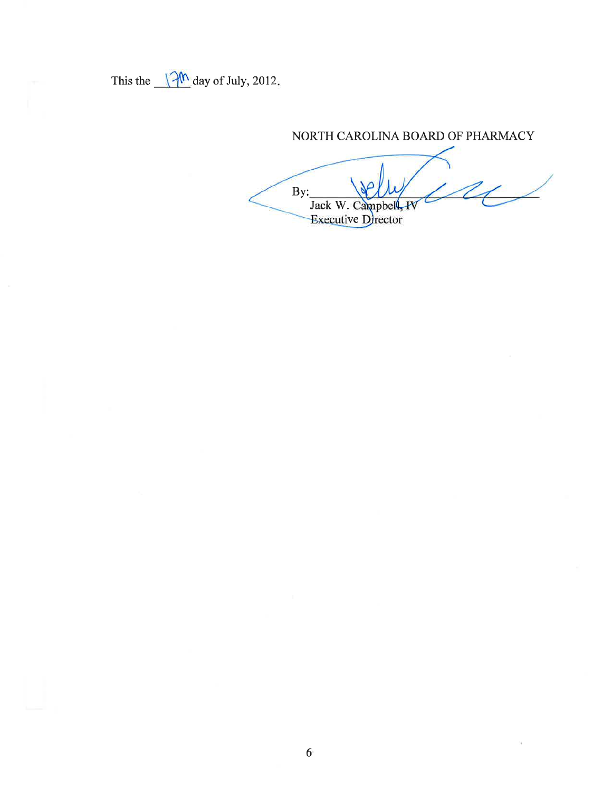This the  $\sqrt{2^{\frac{m}{n}}}$  day of July, 2012.

# NORTH CAROLINA BOARD OF PHARMACY

By: Jack W. Campbell, IV Executive Director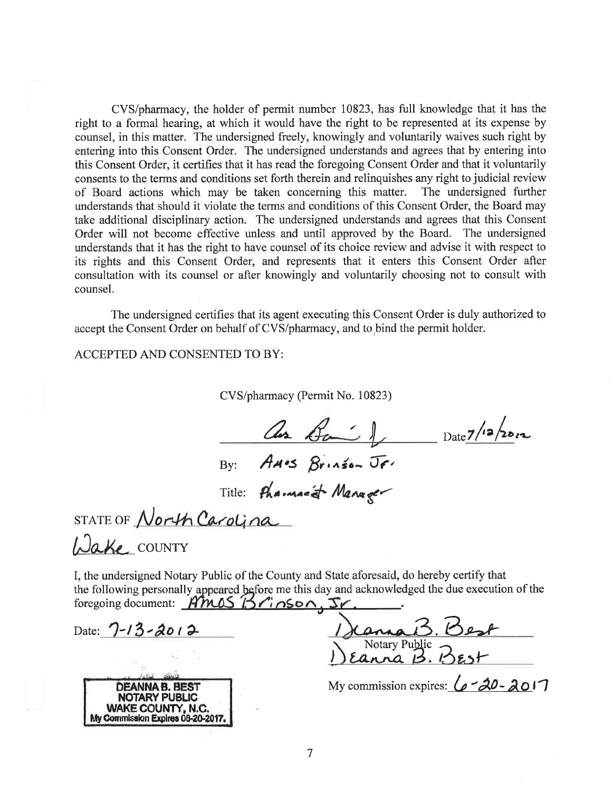CVS/pharmacy, the holder of permit number 10823, has full knowledge that it has the right to a formal hearing, at which it would have the right to be represented at its expense by counsel, in this matter. The undersigned freely, knowingly and voluntarily waives such right by entering into this Consent Order. The undersigned understands and agrees that by entering into this Consent Order, it certifies that it has read the foregoing Consent Order and that it voluntarily consents to the terms and conditions set forth therein and relinquishes any right to judicial review of Board actions which may be taken concerning this matter. The undersigned further understands that should it violate the terms and conditions of this Consent Order, the Board may take additional disciplinary action. The undersigned understands and agrees that this Consent Order will not become effective unless and until approved by the Board. The undersigned understands that it has the right to have counsel of its choice review and advise it with respect to its rights and this Consent Order, and represents that it enters this Consent Order after consultation with its counsel or after knowingly and voluntarily choosing not to consult with counsel.

The undersigned certifies that its agent executing this Consent Order is duly authorized to accept the Consent Order on behalf of CVS/pharmacy, and to bind the permit holder.

ACCEPTED AND CONSENTED TO BY:

CVS/pharmacy (Permit No. 10823)

as Bail Date 7/12/2012 By: AMOS Brinson JF.

Title: Pharmacet Manager

STATE OF North Carolina

Wake COUNTY

I, the undersigned Notary Public of the County and State aforesaid, do hereby certify that the following personally appeared before me this day and acknowledged the due execution of the foregoing document: Anos Brinson, Sr.

Date:  $7 - 13 - 2012$ 

| DEANNA B. BEST                    |
|-----------------------------------|
| <b>NOTARY PUBLIC</b>              |
| WAKE COUNTY, N.C.                 |
| My Commission Expires 06-20-2017. |

Motary Public<br>Rotary Public<br>12 BES

My commission expires:  $6 - 20 - 201$